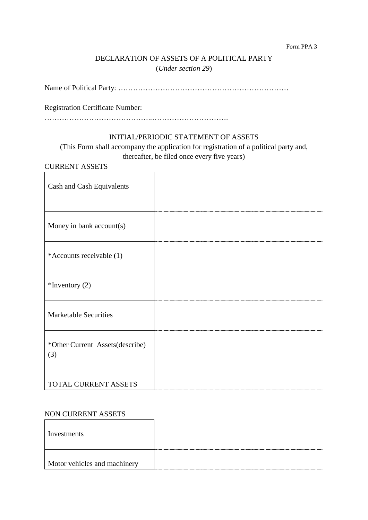#### Form PPA 3

## DECLARATION OF ASSETS OF A POLITICAL PARTY (*Under section 29*)

Name of Political Party: ……………………………………………………………

Registration Certificate Number:

……………………………………..………………………….

## INITIAL/PERIODIC STATEMENT OF ASSETS

(This Form shall accompany the application for registration of a political party and, thereafter, be filed once every five years)

## CURRENT ASSETS

| Cash and Cash Equivalents              |  |
|----------------------------------------|--|
| Money in bank account(s)               |  |
| *Accounts receivable (1)               |  |
| $*$ Inventory (2)                      |  |
| <b>Marketable Securities</b>           |  |
| *Other Current Assets(describe)<br>(3) |  |
| TOTAL CURRENT ASSETS                   |  |

#### NON CURRENT ASSETS

| Investments                  |  |
|------------------------------|--|
| Motor vehicles and machinery |  |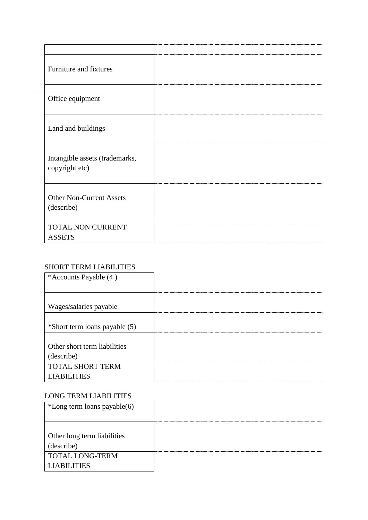| Furniture and fixtures                           |  |
|--------------------------------------------------|--|
| Office equipment                                 |  |
| Land and buildings                               |  |
| Intangible assets (trademarks,<br>copyright etc) |  |
| <b>Other Non-Current Assets</b><br>(describe)    |  |
| TOTAL NON CURRENT<br><b>ASSETS</b>               |  |

## SHORT TERM LIABILITIES

| *Accounts Payable (4)         |  |
|-------------------------------|--|
|                               |  |
| Wages/salaries payable        |  |
|                               |  |
| *Short term loans payable (5) |  |
|                               |  |
| Other short term liabilities  |  |
| (describe)                    |  |
| <b>TOTAL SHORT TERM</b>       |  |
| <b>LIABILITIES</b>            |  |

## LONG TERM LIABILITIES

| *Long term loans payable(6) |  |
|-----------------------------|--|
|                             |  |
|                             |  |
| Other long term liabilities |  |
| (describe)                  |  |
| <b>TOTAL LONG-TERM</b>      |  |
| <b>LIABILITIES</b>          |  |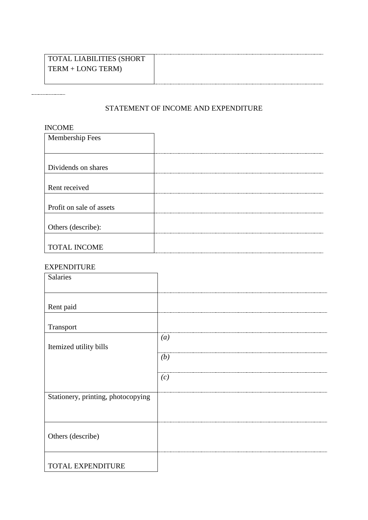## TOTAL LIABILITIES (SHORT TERM + LONG TERM)

## STATEMENT OF INCOME AND EXPENDITURE

#### INCOME

| Membership Fees          |  |
|--------------------------|--|
|                          |  |
|                          |  |
| Dividends on shares      |  |
|                          |  |
| Rent received            |  |
|                          |  |
| Profit on sale of assets |  |
|                          |  |
| Others (describe):       |  |
|                          |  |
| <b>TOTAL INCOME</b>      |  |

#### EXPENDITURE

| <b>Salaries</b>                    |                  |
|------------------------------------|------------------|
| Rent paid                          |                  |
| Transport                          |                  |
| Itemized utility bills             | $\left(a\right)$ |
|                                    | (b)              |
|                                    | (c)              |
| Stationery, printing, photocopying |                  |
|                                    |                  |
| Others (describe)                  |                  |
|                                    |                  |
| <b>TOTAL EXPENDITURE</b>           |                  |